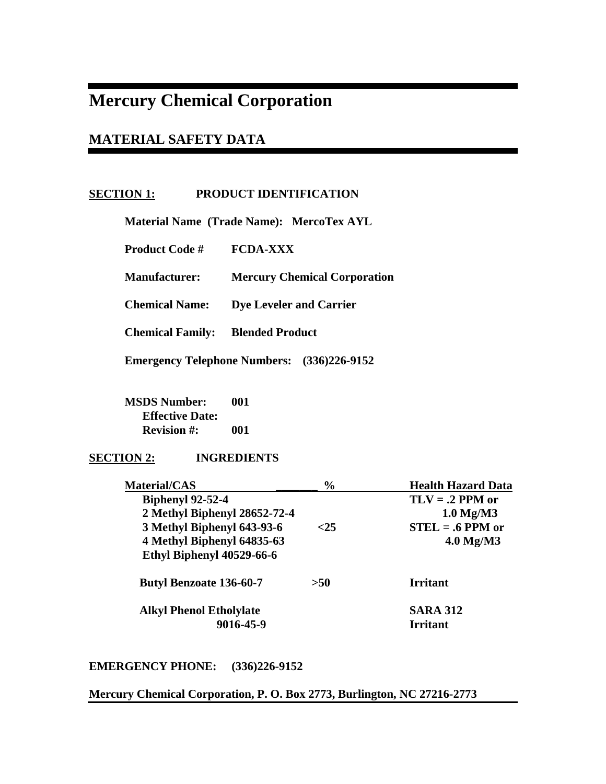# **Mercury Chemical Corporation**

# **MATERIAL SAFETY DATA**

# **SECTION 1: PRODUCT IDENTIFICATION**

 **Material Name (Trade Name): MercoTex AYL** 

 **Product Code # FCDA-XXX** 

 **Manufacturer: Mercury Chemical Corporation** 

 **Chemical Name: Dye Leveler and Carrier** 

 **Chemical Family: Blended Product** 

 **Emergency Telephone Numbers: (336)226-9152** 

 **MSDS Number: 001 Effective Date: Revision #: 001** 

# **SECTION 2: INGREDIENTS**

| <b>Material/CAS</b>            | $\frac{6}{6}$ | <b>Health Hazard Data</b> |
|--------------------------------|---------------|---------------------------|
| <b>Biphenyl 92-52-4</b>        |               | $TLV = .2$ PPM or         |
| 2 Methyl Biphenyl 28652-72-4   |               | $1.0$ Mg/M3               |
| 3 Methyl Biphenyl 643-93-6     | <25           | $STEL = .6$ PPM or        |
| 4 Methyl Biphenyl 64835-63     |               | $4.0$ Mg/M3               |
| Ethyl Biphenyl 40529-66-6      |               |                           |
| <b>Butyl Benzoate 136-60-7</b> | >50           | <b>Irritant</b>           |
| <b>Alkyl Phenol Etholylate</b> |               | <b>SARA 312</b>           |
| 9016-45-9                      |               | <b>Irritant</b>           |
|                                |               |                           |

**EMERGENCY PHONE: (336)226-9152** 

**Mercury Chemical Corporation, P. O. Box 2773, Burlington, NC 27216-2773**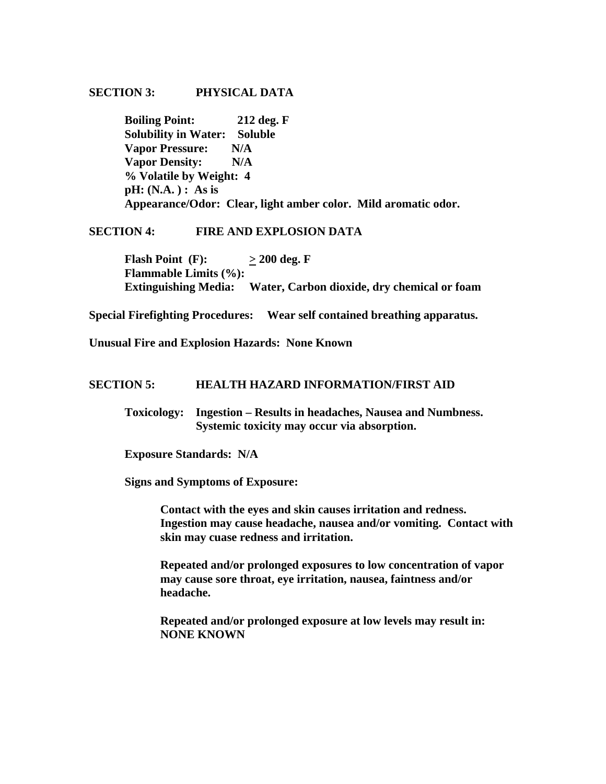#### **SECTION 3: PHYSICAL DATA**

 **Boiling Point: 212 deg. F Solubility in Water: Soluble Vapor Pressure: N/A Vapor Density: N/A % Volatile by Weight: 4 pH: (N.A. ) : As is Appearance/Odor: Clear, light amber color. Mild aromatic odor.** 

# **SECTION 4: FIRE AND EXPLOSION DATA**

**Flash Point** (F):  $\geq 200 \text{ deg. F}$  **Flammable Limits (%): Extinguishing Media: Water, Carbon dioxide, dry chemical or foam** 

**Special Firefighting Procedures: Wear self contained breathing apparatus.** 

**Unusual Fire and Explosion Hazards: None Known** 

#### **SECTION 5: HEALTH HAZARD INFORMATION/FIRST AID**

 **Toxicology: Ingestion – Results in headaches, Nausea and Numbness. Systemic toxicity may occur via absorption.** 

 **Exposure Standards: N/A** 

 **Signs and Symptoms of Exposure:** 

 **Contact with the eyes and skin causes irritation and redness. Ingestion may cause headache, nausea and/or vomiting. Contact with skin may cuase redness and irritation.** 

**Repeated and/or prolonged exposures to low concentration of vapor may cause sore throat, eye irritation, nausea, faintness and/or headache.** 

**Repeated and/or prolonged exposure at low levels may result in: NONE KNOWN**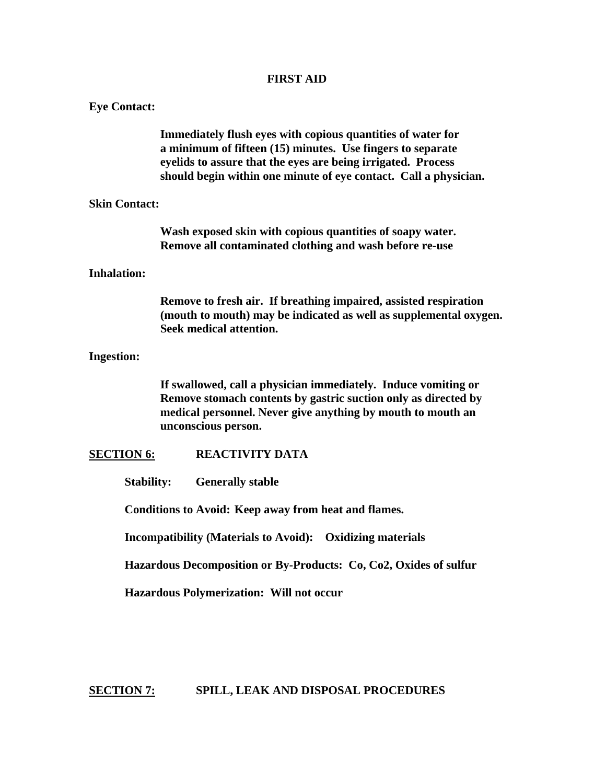# **FIRST AID**

| <b>Eye Contact:</b>  |                                                                                                                                                                                                                                                               |
|----------------------|---------------------------------------------------------------------------------------------------------------------------------------------------------------------------------------------------------------------------------------------------------------|
|                      | Immediately flush eyes with copious quantities of water for<br>a minimum of fifteen (15) minutes. Use fingers to separate<br>eyelids to assure that the eyes are being irrigated. Process<br>should begin within one minute of eye contact. Call a physician. |
| <b>Skin Contact:</b> |                                                                                                                                                                                                                                                               |
|                      | Wash exposed skin with copious quantities of soapy water.<br>Remove all contaminated clothing and wash before re-use                                                                                                                                          |
| <b>Inhalation:</b>   |                                                                                                                                                                                                                                                               |
|                      | Remove to fresh air. If breathing impaired, assisted respiration<br>(mouth to mouth) may be indicated as well as supplemental oxygen.<br>Seek medical attention.                                                                                              |
| <b>Ingestion:</b>    |                                                                                                                                                                                                                                                               |
|                      | If swallowed, call a physician immediately. Induce vomiting or<br>Remove stomach contents by gastric suction only as directed by<br>medical personnel. Never give anything by mouth to mouth an<br>unconscious person.                                        |
| <b>SECTION 6:</b>    | <b>REACTIVITY DATA</b>                                                                                                                                                                                                                                        |
| <b>Stability:</b>    | <b>Generally stable</b>                                                                                                                                                                                                                                       |
|                      | Conditions to Avoid: Keep away from heat and flames.                                                                                                                                                                                                          |
|                      | <b>Incompatibility (Materials to Avoid): Oxidizing materials</b>                                                                                                                                                                                              |
|                      | Hazardous Decomposition or By-Products: Co, Co2, Oxides of sulfur                                                                                                                                                                                             |
|                      | Hazardous Polymerization: Will not occur                                                                                                                                                                                                                      |
|                      |                                                                                                                                                                                                                                                               |
|                      |                                                                                                                                                                                                                                                               |

**SECTION 7: SPILL, LEAK AND DISPOSAL PROCEDURES**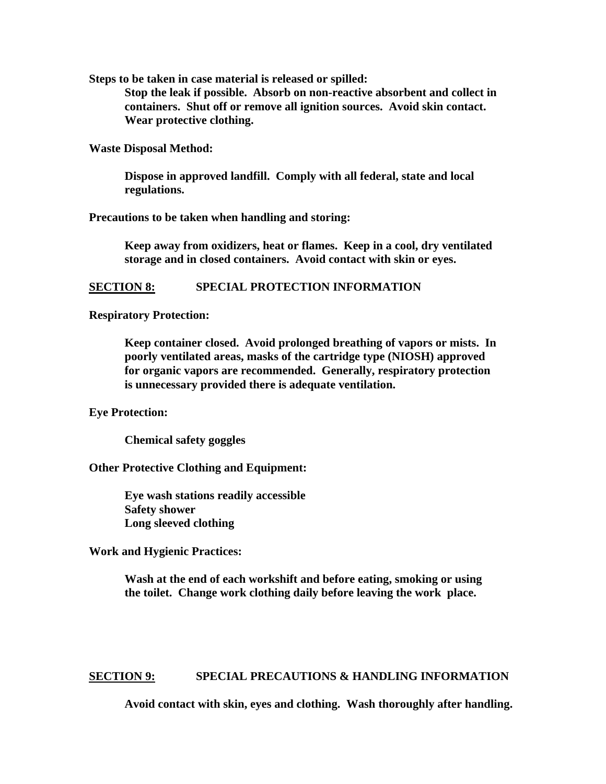**Steps to be taken in case material is released or spilled:** 

 **Stop the leak if possible. Absorb on non-reactive absorbent and collect in containers. Shut off or remove all ignition sources. Avoid skin contact. Wear protective clothing.** 

**Waste Disposal Method:** 

 **Dispose in approved landfill. Comply with all federal, state and local regulations.** 

**Precautions to be taken when handling and storing:** 

 **Keep away from oxidizers, heat or flames. Keep in a cool, dry ventilated storage and in closed containers. Avoid contact with skin or eyes.** 

#### **SECTION 8: SPECIAL PROTECTION INFORMATION**

#### **Respiratory Protection:**

**Keep container closed. Avoid prolonged breathing of vapors or mists. In poorly ventilated areas, masks of the cartridge type (NIOSH) approved for organic vapors are recommended. Generally, respiratory protection is unnecessary provided there is adequate ventilation.** 

**Eye Protection:** 

 **Chemical safety goggles** 

**Other Protective Clothing and Equipment:** 

 **Eye wash stations readily accessible Safety shower Long sleeved clothing** 

**Work and Hygienic Practices:** 

 **Wash at the end of each workshift and before eating, smoking or using the toilet. Change work clothing daily before leaving the work place.** 

**SECTION 9: SPECIAL PRECAUTIONS & HANDLING INFORMATION** 

 **Avoid contact with skin, eyes and clothing. Wash thoroughly after handling.**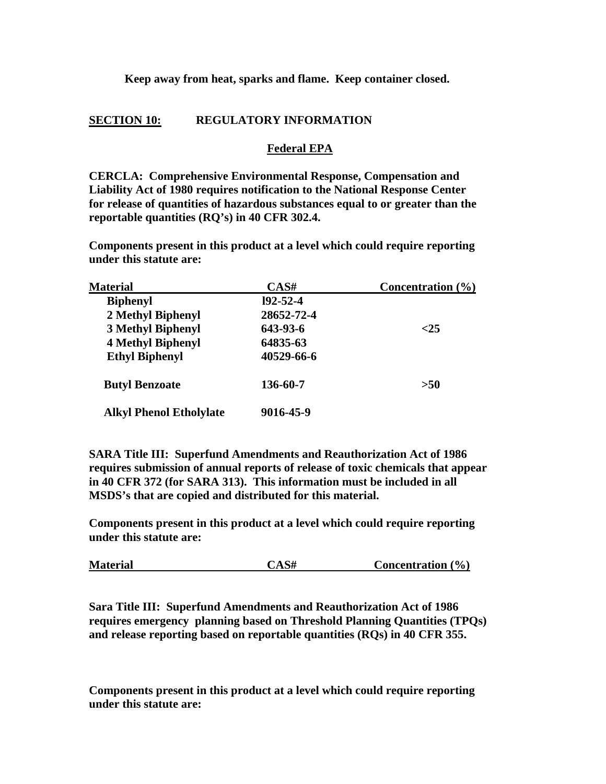# **Keep away from heat, sparks and flame. Keep container closed.**

# **SECTION 10: REGULATORY INFORMATION**

# **Federal EPA**

**CERCLA: Comprehensive Environmental Response, Compensation and Liability Act of 1980 requires notification to the National Response Center for release of quantities of hazardous substances equal to or greater than the reportable quantities (RQ's) in 40 CFR 302.4.** 

**Components present in this product at a level which could require reporting under this statute are:** 

| <b>Material</b>                | CAS#           | Concentration $(\% )$ |
|--------------------------------|----------------|-----------------------|
| <b>Biphenyl</b>                | $192 - 52 - 4$ |                       |
| 2 Methyl Biphenyl              | 28652-72-4     |                       |
| <b>3 Methyl Biphenyl</b>       | 643-93-6       | ${<}25$               |
| <b>4 Methyl Biphenyl</b>       | 64835-63       |                       |
| <b>Ethyl Biphenyl</b>          | 40529-66-6     |                       |
| <b>Butyl Benzoate</b>          | 136-60-7       | >50                   |
| <b>Alkyl Phenol Etholylate</b> | 9016-45-9      |                       |

**SARA Title III: Superfund Amendments and Reauthorization Act of 1986 requires submission of annual reports of release of toxic chemicals that appear in 40 CFR 372 (for SARA 313). This information must be included in all MSDS's that are copied and distributed for this material.** 

**Components present in this product at a level which could require reporting under this statute are:** 

| CAS#<br><b>Material</b><br>Concentration $(\% )$ |
|--------------------------------------------------|
|--------------------------------------------------|

**Sara Title III: Superfund Amendments and Reauthorization Act of 1986 requires emergency planning based on Threshold Planning Quantities (TPQs) and release reporting based on reportable quantities (RQs) in 40 CFR 355.** 

**Components present in this product at a level which could require reporting under this statute are:**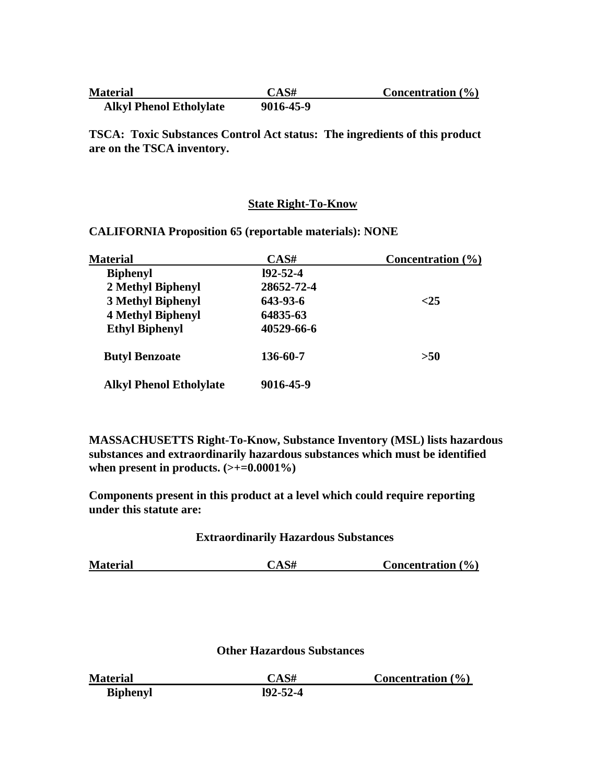| <b>Material</b>                | CAS#      | Concentration $(\% )$ |
|--------------------------------|-----------|-----------------------|
| <b>Alkyl Phenol Etholylate</b> | 9016-45-9 |                       |

**TSCA: Toxic Substances Control Act status: The ingredients of this product are on the TSCA inventory.** 

# **State Right-To-Know**

| <b>Material</b>                | CAS#           | Concentration $(\% )$ |
|--------------------------------|----------------|-----------------------|
| <b>Biphenyl</b>                | $192 - 52 - 4$ |                       |
| 2 Methyl Biphenyl              | 28652-72-4     |                       |
| <b>3 Methyl Biphenyl</b>       | 643-93-6       | ${<}25$               |
| <b>4 Methyl Biphenyl</b>       | 64835-63       |                       |
| <b>Ethyl Biphenyl</b>          | 40529-66-6     |                       |
| <b>Butyl Benzoate</b>          | 136-60-7       | >50                   |
| <b>Alkyl Phenol Etholylate</b> | 9016-45-9      |                       |

**CALIFORNIA Proposition 65 (reportable materials): NONE** 

**MASSACHUSETTS Right-To-Know, Substance Inventory (MSL) lists hazardous substances and extraordinarily hazardous substances which must be identified**  when present in products.  $(\geq+0.0001\%)$ 

**Components present in this product at a level which could require reporting under this statute are:** 

# **Extraordinarily Hazardous Substances**

| <b>Material</b> | CAS# | Concentration $(\% )$ |  |
|-----------------|------|-----------------------|--|
|-----------------|------|-----------------------|--|

# **Other Hazardous Substances**

| <b>Material</b> | CAS#           | Concentration $(\% )$ |
|-----------------|----------------|-----------------------|
| <b>Biphenyl</b> | $192 - 52 - 4$ |                       |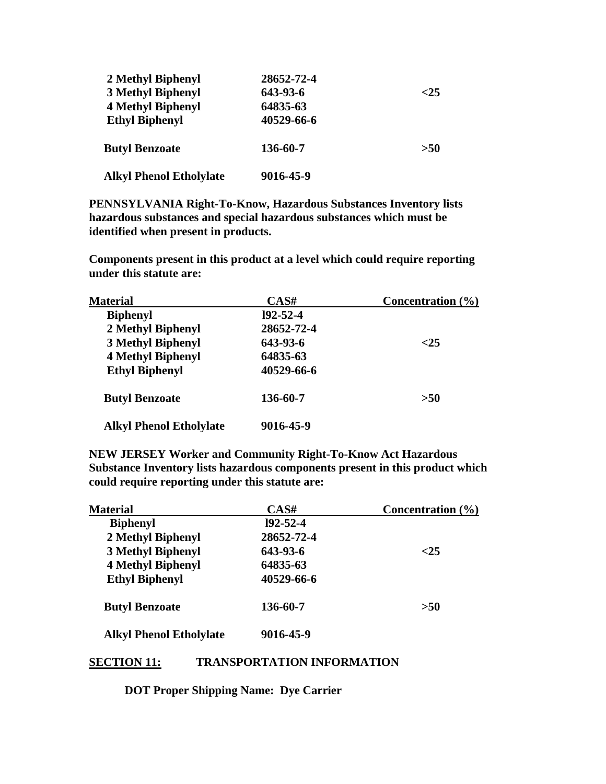| 2 Methyl Biphenyl              | 28652-72-4 |         |
|--------------------------------|------------|---------|
| <b>3 Methyl Biphenyl</b>       | 643-93-6   | ${<}25$ |
| <b>4 Methyl Biphenyl</b>       | 64835-63   |         |
| <b>Ethyl Biphenyl</b>          | 40529-66-6 |         |
| <b>Butyl Benzoate</b>          | 136-60-7   | >50     |
| <b>Alkyl Phenol Etholylate</b> | 9016-45-9  |         |

**PENNSYLVANIA Right-To-Know, Hazardous Substances Inventory lists hazardous substances and special hazardous substances which must be identified when present in products.** 

**Components present in this product at a level which could require reporting under this statute are:** 

| <b>Material</b>                | CAS#           | Concentration $(\% )$ |
|--------------------------------|----------------|-----------------------|
| <b>Biphenyl</b>                | $192 - 52 - 4$ |                       |
| 2 Methyl Biphenyl              | 28652-72-4     |                       |
| <b>3 Methyl Biphenyl</b>       | 643-93-6       | ${<}25$               |
| <b>4 Methyl Biphenyl</b>       | 64835-63       |                       |
| <b>Ethyl Biphenyl</b>          | 40529-66-6     |                       |
| <b>Butyl Benzoate</b>          | 136-60-7       | >50                   |
| <b>Alkyl Phenol Etholylate</b> | 9016-45-9      |                       |

**NEW JERSEY Worker and Community Right-To-Know Act Hazardous Substance Inventory lists hazardous components present in this product which could require reporting under this statute are:** 

| <b>Material</b>                | CAS#           | Concentration $(\% )$ |
|--------------------------------|----------------|-----------------------|
| <b>Biphenyl</b>                | $192 - 52 - 4$ |                       |
| 2 Methyl Biphenyl              | 28652-72-4     |                       |
| <b>3 Methyl Biphenyl</b>       | 643-93-6       | ${<}25$               |
| <b>4 Methyl Biphenyl</b>       | 64835-63       |                       |
| <b>Ethyl Biphenyl</b>          | 40529-66-6     |                       |
| <b>Butyl Benzoate</b>          | 136-60-7       | >50                   |
| <b>Alkyl Phenol Etholylate</b> | 9016-45-9      |                       |

# **SECTION 11: TRANSPORTATION INFORMATION**

 **DOT Proper Shipping Name: Dye Carrier**